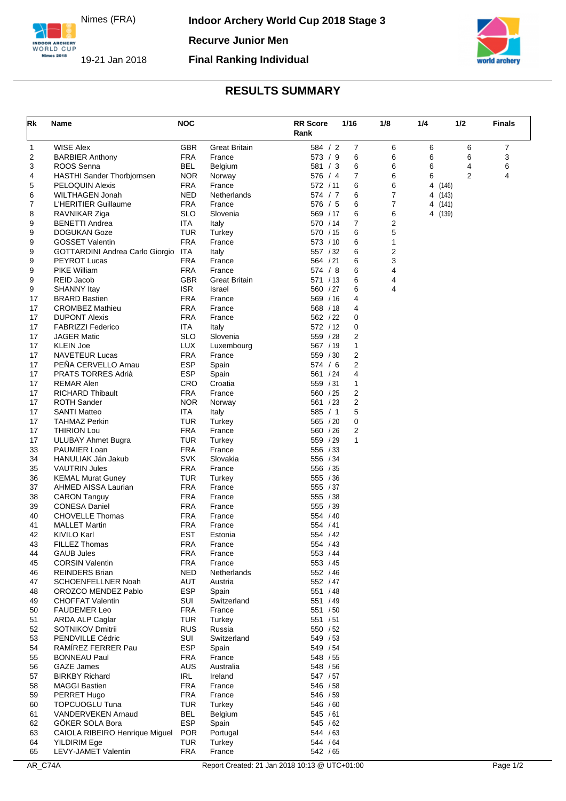Nimes (FRA)

INDOOR ARCHERY<br>WORLD CUP Nimes 2018

**Recurve Junior Men**

19-21 Jan 2018 **Final Ranking Individual**



## **RESULTS SUMMARY**

| Rk       | Name                                          | <b>NOC</b>               |                      | <b>RR Score</b><br>Rank | 1/16           | 1/8            | 1/4     | 1/2            | <b>Finals</b> |
|----------|-----------------------------------------------|--------------------------|----------------------|-------------------------|----------------|----------------|---------|----------------|---------------|
| 1        | <b>WISE Alex</b>                              | <b>GBR</b>               | <b>Great Britain</b> | 584 / 2                 | 7              | 6              | 6       | 6              | 7             |
| 2        | <b>BARBIER Anthony</b>                        | <b>FRA</b>               | France               | 573 / 9                 | 6              | 6              | 6       | 6              | 3             |
| 3        | ROOS Senna                                    | <b>BEL</b>               | Belgium              | 581 / 3                 | 6              | 6              | 6       | 4              | 6             |
| 4        | <b>HASTHI Sander Thorbjornsen</b>             | <b>NOR</b>               | Norway               | 576 / 4                 | $\overline{7}$ | 6              | 6       | $\overline{2}$ | 4             |
| 5        | PELOQUIN Alexis                               | <b>FRA</b>               | France               | 572 / 11                | 6              | 6              | 4       | (146)          |               |
| 6        | WILTHAGEN Jonah                               | <b>NED</b>               | Netherlands          | 574 / 7                 | 6              | 7              | 4 (143) |                |               |
| 7        | L'HERITIER Guillaume                          | <b>FRA</b>               | France               | 576 / 5                 | 6              | $\overline{7}$ | 4 (141) |                |               |
| 8        | RAVNIKAR Ziga                                 | SLO                      | Slovenia             | 569 / 17                | 6              | 6              | 4 (139) |                |               |
| 9        | <b>BENETTI Andrea</b>                         | ITA                      | Italy                | 570 / 14                | 7              | 2              |         |                |               |
| 9<br>9   | <b>DOGUKAN Goze</b><br><b>GOSSET Valentin</b> | TUR<br><b>FRA</b>        | Turkey<br>France     | 570 / 15<br>573 / 10    | 6<br>6         | 5<br>1         |         |                |               |
| 9        | GOTTARDINI Andrea Carlo Giorgio               | <b>ITA</b>               | Italy                | 557 / 32                | 6              | 2              |         |                |               |
| 9        | <b>PEYROT Lucas</b>                           | <b>FRA</b>               | France               | 564 / 21                | 6              | 3              |         |                |               |
| 9        | <b>PIKE William</b>                           | <b>FRA</b>               | France               | 574 / 8                 | 6              | 4              |         |                |               |
| 9        | REID Jacob                                    | <b>GBR</b>               | <b>Great Britain</b> | 571 / 13                | 6              | 4              |         |                |               |
| 9        | <b>SHANNY Itay</b>                            | <b>ISR</b>               | Israel               | 560 / 27                | 6              | 4              |         |                |               |
| 17       | <b>BRARD Bastien</b>                          | <b>FRA</b>               | France               | 569 / 16                | 4              |                |         |                |               |
| 17       | <b>CROMBEZ Mathieu</b>                        | <b>FRA</b>               | France               | 568 / 18                | 4              |                |         |                |               |
| 17       | <b>DUPONT Alexis</b>                          | <b>FRA</b>               | France               | 562 / 22                | 0              |                |         |                |               |
| 17       | <b>FABRIZZI Federico</b>                      | ITA                      | Italy                | 572 / 12                | 0              |                |         |                |               |
| 17       | <b>JAGER Matic</b>                            | SLO                      | Slovenia             | 559 / 28                | $\overline{2}$ |                |         |                |               |
| 17       | <b>KLEIN Joe</b>                              | <b>LUX</b>               | Luxembourg           | 567 / 19                | 1              |                |         |                |               |
| 17       | <b>NAVETEUR Lucas</b>                         | <b>FRA</b>               | France               | 559 / 30                | 2              |                |         |                |               |
| 17       | PEÑA CERVELLO Arnau                           | <b>ESP</b>               | Spain                | 574 / 6                 | 2              |                |         |                |               |
| 17       | PRATS TORRES Adrià                            | <b>ESP</b>               | Spain                | 561 / 24                | 4              |                |         |                |               |
| 17       | <b>REMAR Alen</b>                             | CRO                      | Croatia              | 559 / 31                | 1              |                |         |                |               |
| 17       | <b>RICHARD Thibault</b>                       | FRA                      | France               | 560 / 25                | 2              |                |         |                |               |
| 17       | <b>ROTH Sander</b>                            | <b>NOR</b>               | Norway               | 561 / 23                | 2              |                |         |                |               |
| 17       | <b>SANTI Matteo</b>                           | ITA                      | Italy                | 585 / 1                 | 5              |                |         |                |               |
| 17       | TAHMAZ Perkin                                 | <b>TUR</b>               | Turkey               | 565 / 20                | 0              |                |         |                |               |
| 17       | <b>THIRION Lou</b>                            | <b>FRA</b>               | France               | 560 / 26                | 2<br>1         |                |         |                |               |
| 17       | <b>ULUBAY Ahmet Bugra</b>                     | <b>TUR</b><br><b>FRA</b> | Turkey<br>France     | 559 / 29<br>556 / 33    |                |                |         |                |               |
| 33<br>34 | PAUMIER Loan<br>HANULIAK Ján Jakub            | SVK                      | Slovakia             | 556 / 34                |                |                |         |                |               |
| 35       | <b>VAUTRIN Jules</b>                          | <b>FRA</b>               | France               | 556 / 35                |                |                |         |                |               |
| 36       | <b>KEMAL Murat Guney</b>                      | <b>TUR</b>               | Turkey               | 555 / 36                |                |                |         |                |               |
| 37       | AHMED AISSA Laurian                           | <b>FRA</b>               | France               | 555 / 37                |                |                |         |                |               |
| 38       | <b>CARON Tanguy</b>                           | <b>FRA</b>               | France               | 555 / 38                |                |                |         |                |               |
| 39       | <b>CONESA Daniel</b>                          | <b>FRA</b>               | France               | 555 / 39                |                |                |         |                |               |
| 40       | <b>CHOVELLE Thomas</b>                        | <b>FRA</b>               | France               | 554 / 40                |                |                |         |                |               |
| 41       | <b>MALLET Martin</b>                          | <b>FRA</b>               | France               | 554 / 41                |                |                |         |                |               |
| 42       | KIVILO Karl                                   | <b>EST</b>               | Estonia              | 554 / 42                |                |                |         |                |               |
| 43       | FILLEZ Thomas                                 | <b>FRA</b>               | France               | 554 / 43                |                |                |         |                |               |
| 44       | <b>GAUB Jules</b>                             | <b>FRA</b>               | France               | 553 / 44                |                |                |         |                |               |
| 45       | <b>CORSIN Valentin</b>                        | <b>FRA</b>               | France               | 553 / 45                |                |                |         |                |               |
| 46       | <b>REINDERS Brian</b>                         | <b>NED</b>               | Netherlands          | 552 / 46                |                |                |         |                |               |
| 47       | SCHOENFELLNER Noah                            | AUT                      | Austria              | 552 / 47                |                |                |         |                |               |
| 48       | OROZCO MENDEZ Pablo                           | <b>ESP</b>               | Spain                | 551 / 48                |                |                |         |                |               |
| 49       | <b>CHOFFAT Valentin</b>                       | SUI                      | Switzerland          | 551 / 49                |                |                |         |                |               |
| 50       | <b>FAUDEMER Leo</b><br><b>ARDA ALP Caglar</b> | <b>FRA</b><br><b>TUR</b> | France               | 551 / 50<br>551 / 51    |                |                |         |                |               |
| 51<br>52 | <b>SOTNIKOV Dmitrii</b>                       | <b>RUS</b>               | Turkey<br>Russia     | 550 / 52                |                |                |         |                |               |
| 53       | PENDVILLE Cédric                              | SUI                      | Switzerland          | 549 / 53                |                |                |         |                |               |
| 54       | RAMIREZ FERRER Pau                            | <b>ESP</b>               | Spain                | 549 / 54                |                |                |         |                |               |
| 55       | <b>BONNEAU Paul</b>                           | FRA                      | France               | 548 / 55                |                |                |         |                |               |
| 56       | <b>GAZE James</b>                             | <b>AUS</b>               | Australia            | 548 / 56                |                |                |         |                |               |
| 57       | <b>BIRKBY Richard</b>                         | <b>IRL</b>               | Ireland              | 547 / 57                |                |                |         |                |               |
| 58       | <b>MAGGI Bastien</b>                          | FRA                      | France               | 546 / 58                |                |                |         |                |               |
| 59       | PERRET Hugo                                   | <b>FRA</b>               | France               | 546 / 59                |                |                |         |                |               |
| 60       | <b>TOPCUOGLU Tuna</b>                         | TUR                      | Turkey               | 546 / 60                |                |                |         |                |               |
| 61       | VANDERVEKEN Arnaud                            | <b>BEL</b>               | Belgium              | 545 / 61                |                |                |         |                |               |
| 62       | GÖKER SOLA Bora                               | <b>ESP</b>               | Spain                | 545 / 62                |                |                |         |                |               |
| 63       | CAIOLA RIBEIRO Henrique Miguel                | <b>POR</b>               | Portugal             | 544 / 63                |                |                |         |                |               |
| 64       | <b>YILDIRIM Ege</b>                           | <b>TUR</b>               | Turkey               | 544 / 64                |                |                |         |                |               |
| 65       | LEVY-JAMET Valentin                           | <b>FRA</b>               | France               | 542 / 65                |                |                |         |                |               |